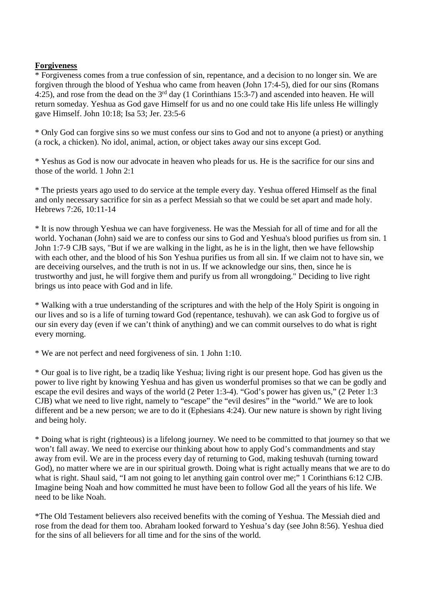## **Forgiveness**

\* Forgiveness comes from a true confession of sin, repentance, and a decision to no longer sin. We are forgiven through the blood of Yeshua who came from heaven (John 17:4-5), died for our sins (Romans 4:25), and rose from the dead on the 3<sup>rd</sup> day (1 Corinthians 15:3-7) and ascended into heaven. He will return someday. Yeshua as God gave Himself for us and no one could take His life unless He willingly gave Himself. John 10:18; Isa 53; Jer. 23:5-6

\* Only God can forgive sins so we must confess our sins to God and not to anyone (a priest) or anything (a rock, a chicken). No idol, animal, action, or object takes away our sins except God.

\* Yeshus as God is now our advocate in heaven who pleads for us. He is the sacrifice for our sins and those of the world. 1 John 2:1

\* The priests years ago used to do service at the temple every day. Yeshua offered Himself as the final and only necessary sacrifice for sin as a perfect Messiah so that we could be set apart and made holy. Hebrews 7:26, 10:11-14

\* It is now through Yeshua we can have forgiveness. He was the Messiah for all of time and for all the world. Yochanan (John) said we are to confess our sins to God and Yeshua's blood purifies us from sin. 1 John 1:7-9 CJB says, "But if we are walking in the light, as he is in the light, then we have fellowship with each other, and the blood of his Son Yeshua purifies us from all sin. If we claim not to have sin, we are deceiving ourselves, and the truth is not in us. If we acknowledge our sins, then, since he is trustworthy and just, he will forgive them and purify us from all wrongdoing." Deciding to live right brings us into peace with God and in life.

\* Walking with a true understanding of the scriptures and with the help of the Holy Spirit is ongoing in our lives and so is a life of turning toward God (repentance, teshuvah). we can ask God to forgive us of our sin every day (even if we can't think of anything) and we can commit ourselves to do what is right every morning.

\* We are not perfect and need forgiveness of sin. 1 John 1:10.

\* Our goal is to live right, be a tzadiq like Yeshua; living right is our present hope. God has given us the power to live right by knowing Yeshua and has given us wonderful promises so that we can be godly and escape the evil desires and ways of the world (2 Peter 1:3-4). "God's power has given us," (2 Peter 1:3 CJB) what we need to live right, namely to "escape" the "evil desires" in the "world." We are to look different and be a new person; we are to do it (Ephesians 4:24). Our new nature is shown by right living and being holy.

\* Doing what is right (righteous) is a lifelong journey. We need to be committed to that journey so that we won't fall away. We need to exercise our thinking about how to apply God's commandments and stay away from evil. We are in the process every day of returning to God, making teshuvah (turning toward God), no matter where we are in our spiritual growth. Doing what is right actually means that we are to do what is right. Shaul said, "I am not going to let anything gain control over me;" 1 Corinthians 6:12 CJB. Imagine being Noah and how committed he must have been to follow God all the years of his life. We need to be like Noah.

\*The Old Testament believers also received benefits with the coming of Yeshua. The Messiah died and rose from the dead for them too. Abraham looked forward to Yeshua's day (see John 8:56). Yeshua died for the sins of all believers for all time and for the sins of the world.